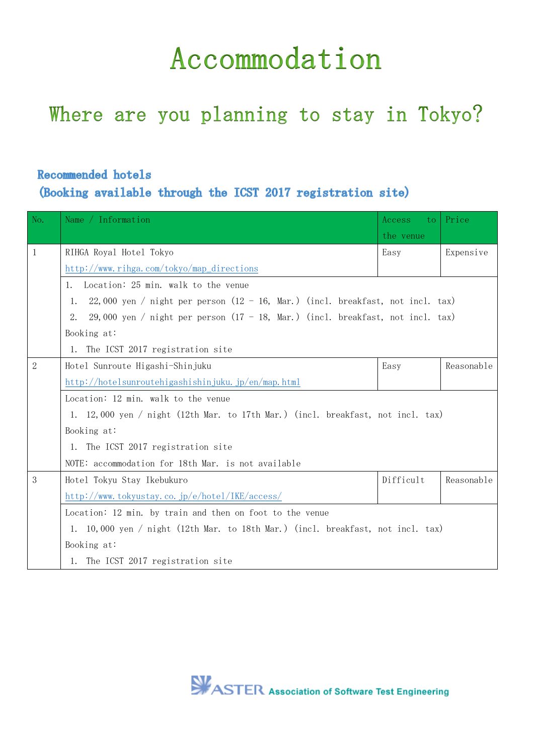## Accommodation

## Where are you planning to stay in Tokyo?

## Recommended hotels

(Booking available through the ICST 2017 registration site)

| No.          | Name / Information                                                                             | Access<br>to. | Price      |  |  |  |
|--------------|------------------------------------------------------------------------------------------------|---------------|------------|--|--|--|
|              |                                                                                                | the venue     |            |  |  |  |
| 1            | RIHGA Royal Hotel Tokyo                                                                        | Easy          | Expensive  |  |  |  |
|              | http://www.rihga.com/tokyo/map_directions                                                      |               |            |  |  |  |
|              | Location: 25 min. walk to the venue<br>1.                                                      |               |            |  |  |  |
|              | 22,000 yen / night per person $(12 - 16, \text{ Mar.})$ (incl. breakfast, not incl. tax)<br>1. |               |            |  |  |  |
|              | 29,000 yen / night per person $(17 - 18, \text{Mar.})$ (incl. breakfast, not incl. tax)        |               |            |  |  |  |
|              | Booking at:                                                                                    |               |            |  |  |  |
|              | 1. The ICST 2017 registration site                                                             |               |            |  |  |  |
| $\mathbf{2}$ | Hotel Sunroute Higashi-Shinjuku                                                                | Easy          | Reasonable |  |  |  |
|              | http://hotelsunroutehigashishinjuku.jp/en/map.html                                             |               |            |  |  |  |
|              | Location: 12 min. walk to the venue                                                            |               |            |  |  |  |
|              | 1. 12,000 yen / night (12th Mar. to 17th Mar.) (incl. breakfast, not incl. tax)                |               |            |  |  |  |
|              | Booking at:                                                                                    |               |            |  |  |  |
|              | 1. The ICST 2017 registration site                                                             |               |            |  |  |  |
|              | NOTE: accommodation for 18th Mar. is not available                                             |               |            |  |  |  |
| 3            | Hotel Tokyu Stay Ikebukuro                                                                     | Difficult     | Reasonable |  |  |  |
|              | http://www.tokyustay.co.jp/e/hotel/IKE/access/                                                 |               |            |  |  |  |
|              | Location: 12 min. by train and then on foot to the venue                                       |               |            |  |  |  |
|              | 1. 10,000 yen / night (12th Mar. to 18th Mar.) (incl. breakfast, not incl. tax)                |               |            |  |  |  |
|              | Booking at:                                                                                    |               |            |  |  |  |
|              | 1. The ICST 2017 registration site                                                             |               |            |  |  |  |

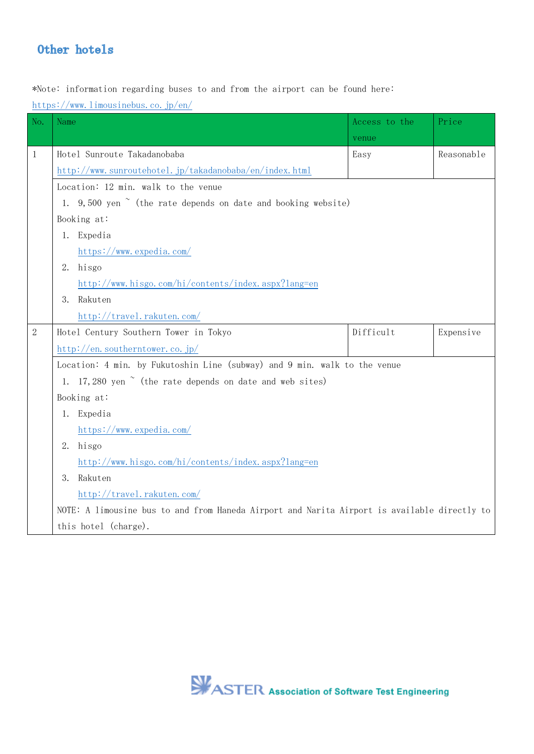## Other hotels

\*Note: information regarding buses to and from the airport can be found here:

<https://www.limousinebus.co.jp/en/>

| No.          | Name                                                                                                                                       | Access to the | Price      |  |  |  |
|--------------|--------------------------------------------------------------------------------------------------------------------------------------------|---------------|------------|--|--|--|
|              |                                                                                                                                            | venue         |            |  |  |  |
| $\mathbf{1}$ | Hotel Sunroute Takadanobaba                                                                                                                | Easy          | Reasonable |  |  |  |
|              | http://www.sunroutehotel.jp/takadanobaba/en/index.html                                                                                     |               |            |  |  |  |
|              | Location: 12 min. walk to the venue<br>1. 9,500 yen $\sim$ (the rate depends on date and booking website)<br>Booking at:<br>1. Expedia     |               |            |  |  |  |
|              |                                                                                                                                            |               |            |  |  |  |
|              |                                                                                                                                            |               |            |  |  |  |
|              |                                                                                                                                            |               |            |  |  |  |
|              | https://www.expedia.com/                                                                                                                   |               |            |  |  |  |
|              | hisgo<br>2.                                                                                                                                |               |            |  |  |  |
|              | http://www.hisgo.com/hi/contents/index.aspx?lang=en                                                                                        |               |            |  |  |  |
|              | 3.<br>Rakuten                                                                                                                              |               |            |  |  |  |
|              | http://travel.rakuten.com/                                                                                                                 |               |            |  |  |  |
| $\mathbf{2}$ | Hotel Century Southern Tower in Tokyo                                                                                                      | Difficult     | Expensive  |  |  |  |
|              | http://en.southerntower.co.jp/                                                                                                             |               |            |  |  |  |
|              | Location: 4 min. by Fukutoshin Line (subway) and 9 min. walk to the venue<br>1. 17,280 yen $\sim$ (the rate depends on date and web sites) |               |            |  |  |  |
|              |                                                                                                                                            |               |            |  |  |  |
|              | Booking at:<br>Expedia<br>1.                                                                                                               |               |            |  |  |  |
|              |                                                                                                                                            |               |            |  |  |  |
|              | $\frac{\text{https://www. expectedia.com/}}{}$                                                                                             |               |            |  |  |  |
|              | 2.<br>hisgo                                                                                                                                |               |            |  |  |  |
|              | http://www.hisgo.com/hi/contents/index.aspx?lang=en                                                                                        |               |            |  |  |  |
|              | Rakuten<br>3.                                                                                                                              |               |            |  |  |  |
|              | http://travel.rakuten.com/                                                                                                                 |               |            |  |  |  |
|              | NOTE: A limousine bus to and from Haneda Airport and Narita Airport is available directly to                                               |               |            |  |  |  |
|              | this hotel (charge).                                                                                                                       |               |            |  |  |  |